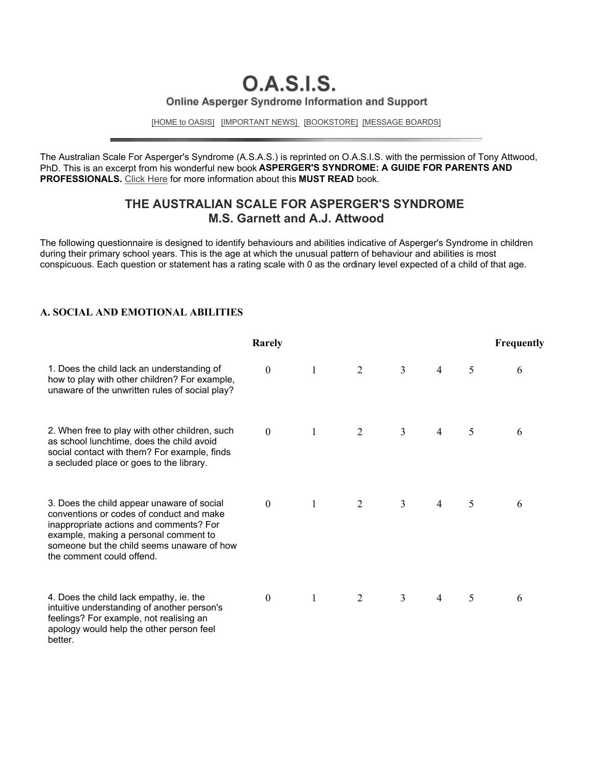# **O.A.S.I.S.** Online Asperger Syndrome Information and Support

[HOME to OASIS] [IMPORTANT NEWS] [BOOKSTORE] [MESSAGE BOARDS]

The Australian Scale For Asperger's Syndrome (A.S.A.S.) is reprinted on O.A.S.I.S. with the permission of Tony Attwood, PhD. This is an excerpt from his wonderful new book **ASPERGER'S SYNDROME: A GUIDE FOR PARENTS AND PROFESSIONALS.** Click Here for more information about this **MUST READ** book.

### **THE AUSTRALIAN SCALE FOR ASPERGER'S SYNDROME M.S. Garnett and A.J. Attwood**

The following questionnaire is designed to identify behaviours and abilities indicative of Asperger's Syndrome in children during their primary school years. This is the age at which the unusual pattern of behaviour and abilities is most conspicuous. Each question or statement has a rating scale with 0 as the ordinary level expected of a child of that age.

#### **A. SOCIAL AND EMOTIONAL ABILITIES**

|                                                                                                                                                                                                                                                       | Rarely           |              |   |                |                |   | Frequently |
|-------------------------------------------------------------------------------------------------------------------------------------------------------------------------------------------------------------------------------------------------------|------------------|--------------|---|----------------|----------------|---|------------|
| 1. Does the child lack an understanding of<br>how to play with other children? For example,<br>unaware of the unwritten rules of social play?                                                                                                         | $\boldsymbol{0}$ | 1            | 2 | $\overline{3}$ | $\overline{4}$ | 5 | 6          |
| 2. When free to play with other children, such<br>as school lunchtime, does the child avoid<br>social contact with them? For example, finds<br>a secluded place or goes to the library.                                                               | $\overline{0}$   | 1            | 2 | $\overline{3}$ | 4              | 5 | 6          |
| 3. Does the child appear unaware of social<br>conventions or codes of conduct and make<br>inappropriate actions and comments? For<br>example, making a personal comment to<br>someone but the child seems unaware of how<br>the comment could offend. | $\overline{0}$   | $\mathbf{1}$ | 2 | $\overline{3}$ | 4              | 5 | 6          |
| 4. Does the child lack empathy, ie. the<br>intuitive understanding of another person's<br>feelings? For example, not realising an<br>apology would help the other person feel<br>better.                                                              | $\overline{0}$   | 1            | 2 | $\overline{3}$ | 4              | 5 | 6          |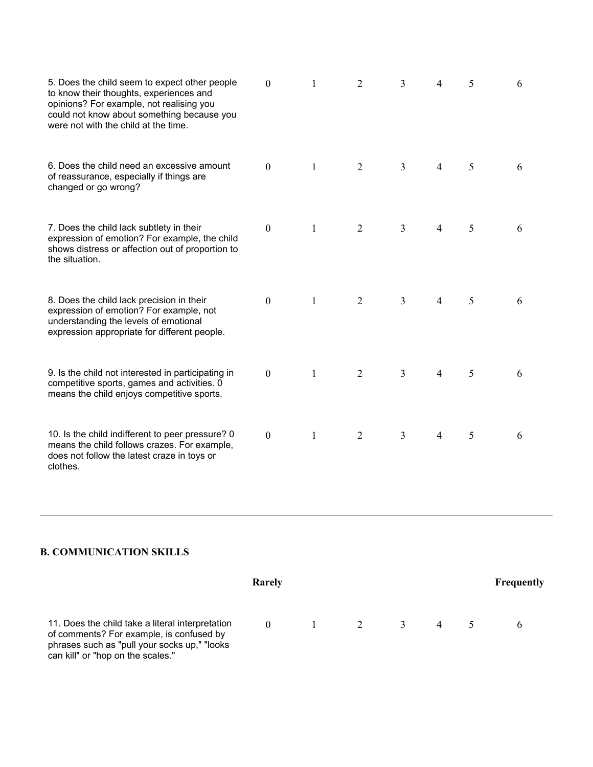| 5. Does the child seem to expect other people<br>to know their thoughts, experiences and<br>opinions? For example, not realising you<br>could not know about something because you<br>were not with the child at the time. | $\Omega$     |   | 2              | 3              | 4              | 5 | 6 |
|----------------------------------------------------------------------------------------------------------------------------------------------------------------------------------------------------------------------------|--------------|---|----------------|----------------|----------------|---|---|
| 6. Does the child need an excessive amount<br>of reassurance, especially if things are<br>changed or go wrong?                                                                                                             | $\theta$     | 1 | $\overline{2}$ | 3              | 4              | 5 | 6 |
| 7. Does the child lack subtlety in their<br>expression of emotion? For example, the child<br>shows distress or affection out of proportion to<br>the situation.                                                            | $\mathbf{0}$ | 1 | $\overline{2}$ | $\overline{3}$ | 4              | 5 | 6 |
| 8. Does the child lack precision in their<br>expression of emotion? For example, not<br>understanding the levels of emotional<br>expression appropriate for different people.                                              | $\mathbf{0}$ | 1 | $\overline{2}$ | 3              | 4              | 5 | 6 |
| 9. Is the child not interested in participating in<br>competitive sports, games and activities. 0<br>means the child enjoys competitive sports.                                                                            | $\mathbf{0}$ | 1 | $\overline{2}$ | 3              | $\overline{4}$ | 5 | 6 |
| 10. Is the child indifferent to peer pressure? 0<br>means the child follows crazes. For example,<br>does not follow the latest craze in toys or<br>clothes.                                                                | $\theta$     | 1 | $\overline{2}$ | 3              | $\overline{4}$ | 5 | 6 |

## **B. COMMUNICATION SKILLS**

|                                                                                                                                                                                    | Rarely   |                     |   | <b>Frequently</b> |
|------------------------------------------------------------------------------------------------------------------------------------------------------------------------------------|----------|---------------------|---|-------------------|
| 11. Does the child take a literal interpretation<br>of comments? For example, is confused by<br>phrases such as "pull your socks up," "looks"<br>can kill" or "hop on the scales." | $\Omega$ | $1 \quad 2 \quad 3$ | 4 |                   |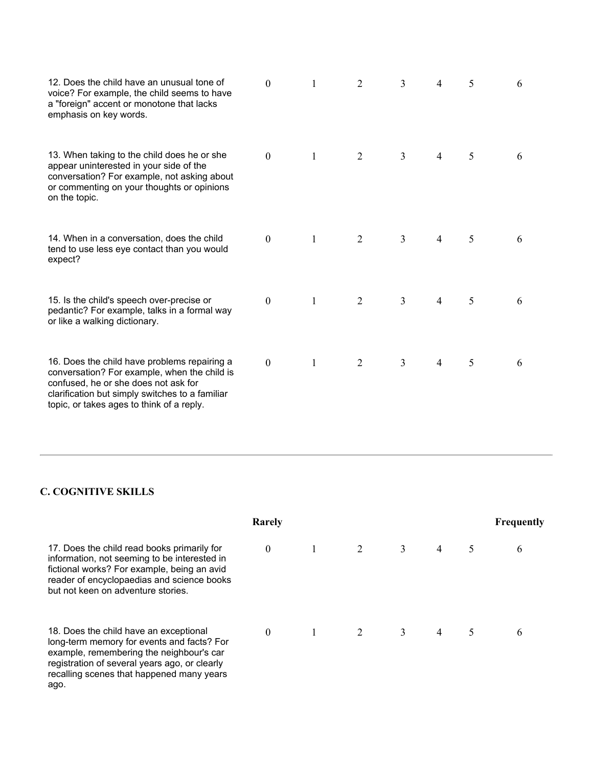| 12. Does the child have an unusual tone of<br>voice? For example, the child seems to have<br>a "foreign" accent or monotone that lacks<br>emphasis on key words.                                                                     | $\theta$         | 1            | 2              | 3              | 4 | 5 | 6 |
|--------------------------------------------------------------------------------------------------------------------------------------------------------------------------------------------------------------------------------------|------------------|--------------|----------------|----------------|---|---|---|
| 13. When taking to the child does he or she<br>appear uninterested in your side of the<br>conversation? For example, not asking about<br>or commenting on your thoughts or opinions<br>on the topic.                                 | $\overline{0}$   | $\mathbf{1}$ | $\overline{2}$ | $\overline{3}$ | 4 | 5 | 6 |
| 14. When in a conversation, does the child<br>tend to use less eye contact than you would<br>expect?                                                                                                                                 | $\overline{0}$   | 1            | 2              | 3              | 4 | 5 | 6 |
| 15. Is the child's speech over-precise or<br>pedantic? For example, talks in a formal way<br>or like a walking dictionary.                                                                                                           | $\boldsymbol{0}$ | $\mathbf{1}$ | $\overline{2}$ | $\overline{3}$ | 4 | 5 | 6 |
| 16. Does the child have problems repairing a<br>conversation? For example, when the child is<br>confused, he or she does not ask for<br>clarification but simply switches to a familiar<br>topic, or takes ages to think of a reply. | $\boldsymbol{0}$ | 1            | 2              | 3              | 4 | 5 | 6 |

### **C. COGNITIVE SKILLS**

| Rarely                                                                                                                                                                                                                                 |          |  |  |   |                |   |   |
|----------------------------------------------------------------------------------------------------------------------------------------------------------------------------------------------------------------------------------------|----------|--|--|---|----------------|---|---|
| 17. Does the child read books primarily for<br>information, not seeming to be interested in<br>fictional works? For example, being an avid<br>reader of encyclopaedias and science books<br>but not keen on adventure stories.         | $\theta$ |  |  | 3 | $\overline{4}$ |   | 6 |
| 18. Does the child have an exceptional<br>long-term memory for events and facts? For<br>example, remembering the neighbour's car<br>registration of several years ago, or clearly<br>recalling scenes that happened many years<br>ago. | $\theta$ |  |  | 3 | $\overline{4}$ | 5 | 6 |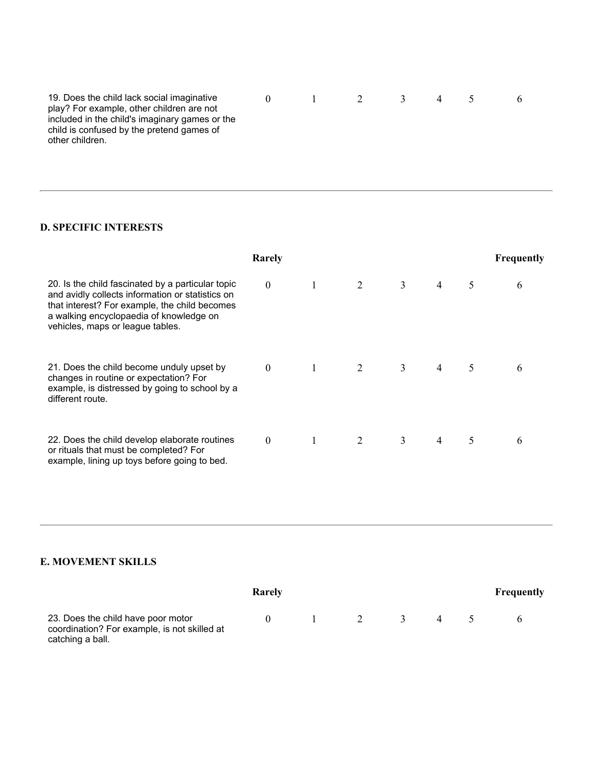| 19. Does the child lack social imaginative     | and the state of the state of the | $\overline{2}$ | $\rightarrow$ |  |  |
|------------------------------------------------|-----------------------------------|----------------|---------------|--|--|
| play? For example, other children are not      |                                   |                |               |  |  |
| included in the child's imaginary games or the |                                   |                |               |  |  |
| child is confused by the pretend games of      |                                   |                |               |  |  |
| other children.                                |                                   |                |               |  |  |
|                                                |                                   |                |               |  |  |

### **D. SPECIFIC INTERESTS**

|                                                                                                                                                                                                                                       | Rarely         |   |                |                |   | <b>Frequently</b> |
|---------------------------------------------------------------------------------------------------------------------------------------------------------------------------------------------------------------------------------------|----------------|---|----------------|----------------|---|-------------------|
| 20. Is the child fascinated by a particular topic<br>and avidly collects information or statistics on<br>that interest? For example, the child becomes<br>a walking encyclopaedia of knowledge on<br>vehicles, maps or league tables. | $\mathbf{0}$   | 2 | 3              | $\overline{4}$ | 5 | 6                 |
| 21. Does the child become unduly upset by<br>changes in routine or expectation? For<br>example, is distressed by going to school by a<br>different route.                                                                             | $\overline{0}$ | 2 | $\overline{3}$ | $\overline{4}$ | 5 | 6                 |
| 22. Does the child develop elaborate routines<br>or rituals that must be completed? For<br>example, lining up toys before going to bed.                                                                                               | $\mathbf{0}$   | 2 | $\overline{3}$ | $\overline{4}$ | 5 | 6                 |

### **E. MOVEMENT SKILLS**

|                                                                                                        | Rarely       |          |     |                | <b>Frequently</b> |
|--------------------------------------------------------------------------------------------------------|--------------|----------|-----|----------------|-------------------|
| 23. Does the child have poor motor<br>coordination? For example, is not skilled at<br>catching a ball. | $\mathbf{U}$ | $\sim$ 1 | 2 3 | $\overline{4}$ |                   |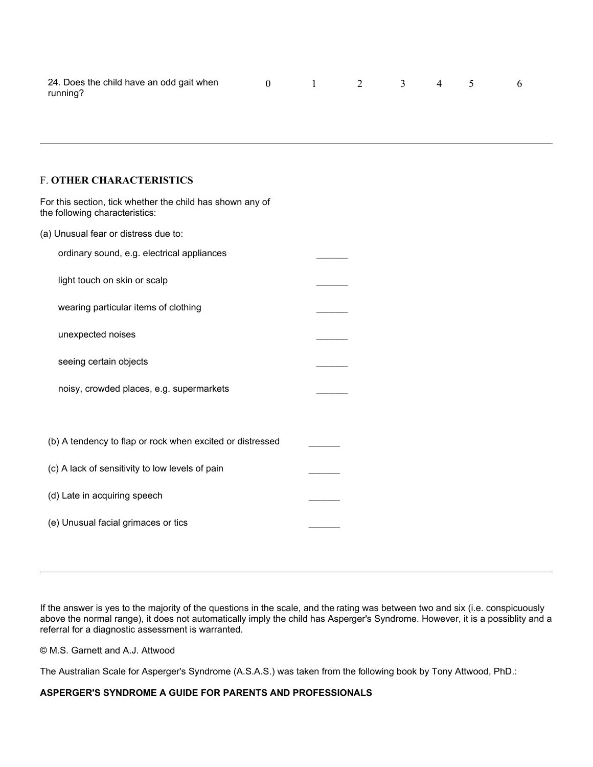| 24. Does the child have an odd gait when |  |  | $0 \t 1 \t 2 \t 3 \t 4 \t 5 \t 6$ |  |
|------------------------------------------|--|--|-----------------------------------|--|
| running?                                 |  |  |                                   |  |

#### F. **OTHER CHARACTERISTICS**

| For this section, tick whether the child has shown any of<br>the following characteristics: |  |
|---------------------------------------------------------------------------------------------|--|
| (a) Unusual fear or distress due to:                                                        |  |
| ordinary sound, e.g. electrical appliances                                                  |  |
| light touch on skin or scalp                                                                |  |
| wearing particular items of clothing                                                        |  |
| unexpected noises                                                                           |  |
| seeing certain objects                                                                      |  |
| noisy, crowded places, e.g. supermarkets                                                    |  |
| (b) A tendency to flap or rock when excited or distressed                                   |  |
| (c) A lack of sensitivity to low levels of pain                                             |  |
| (d) Late in acquiring speech                                                                |  |
| (e) Unusual facial grimaces or tics                                                         |  |

If the answer is yes to the majority of the questions in the scale, and the rating was between two and six (i.e. conspicuously above the normal range), it does not automatically imply the child has Asperger's Syndrome. However, it is a possiblity and a referral for a diagnostic assessment is warranted.

© M.S. Garnett and A.J. Attwood

The Australian Scale for Asperger's Syndrome (A.S.A.S.) was taken from the following book by Tony Attwood, PhD.:

#### **ASPERGER'S SYNDROME A GUIDE FOR PARENTS AND PROFESSIONALS**